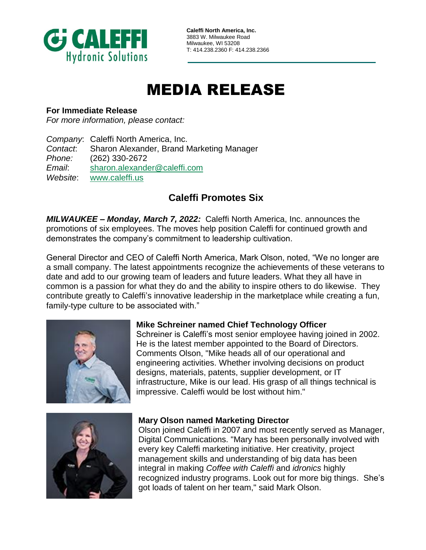

**Caleffi North America, Inc.** 3883 W. Milwaukee Road Milwaukee, WI 53208 T: 414.238.2360 F: 414.238.2366

# MEDIA RELEASE

## **For Immediate Release**

*For more information, please contact:*

*Company*: Caleffi North America, Inc. *Contact*: Sharon Alexander, Brand Marketing Manager *Phone:* (262) 330-2672 *Email*: [sharon.alexander@caleffi.com](mailto:sharon.alexander@caleffi.com) *Website*: [www.caleffi.us](http://www.caleffi.us/)

# **Caleffi Promotes Six**

*MILWAUKEE – Monday, March 7, 2022:* Caleffi North America, Inc. announces the promotions of six employees. The moves help position Caleffi for continued growth and demonstrates the company's commitment to leadership cultivation.

General Director and CEO of Caleffi North America, Mark Olson, noted, "We no longer are a small company. The latest appointments recognize the achievements of these veterans to date and add to our growing team of leaders and future leaders. What they all have in common is a passion for what they do and the ability to inspire others to do likewise. They contribute greatly to Caleffi's innovative leadership in the marketplace while creating a fun, family-type culture to be associated with."



# **Mike Schreiner named Chief Technology Officer**

Schreiner is Caleffi's most senior employee having joined in 2002. He is the latest member appointed to the Board of Directors. Comments Olson, "Mike heads all of our operational and engineering activities. Whether involving decisions on product designs, materials, patents, supplier development, or IT infrastructure, Mike is our lead. His grasp of all things technical is impressive. Caleffi would be lost without him."



# **Mary Olson named Marketing Director**

Olson joined Caleffi in 2007 and most recently served as Manager, Digital Communications. "Mary has been personally involved with every key Caleffi marketing initiative. Her creativity, project management skills and understanding of big data has been integral in making *Coffee with Caleffi* and *idronics* highly recognized industry programs. Look out for more big things. She's got loads of talent on her team," said Mark Olson.